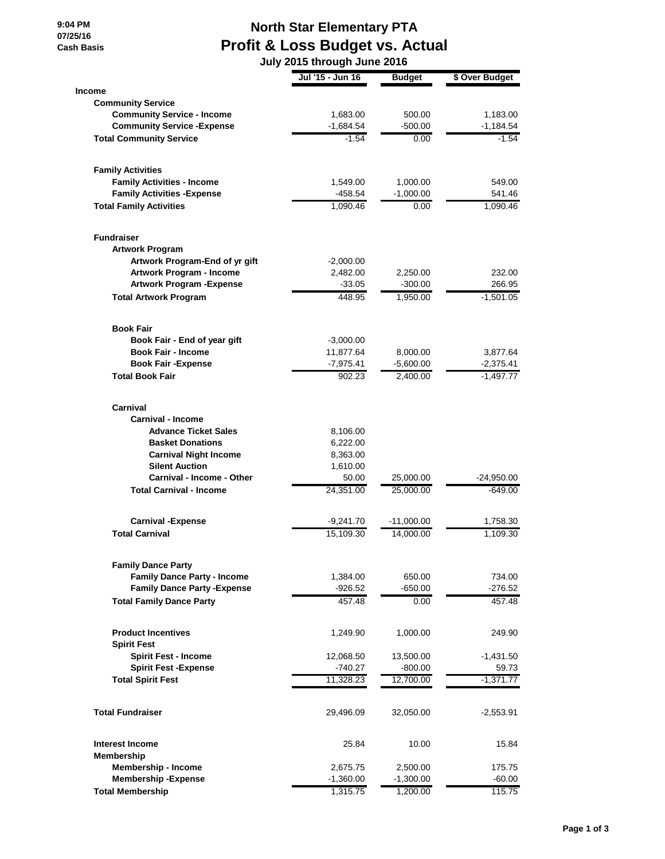**9:04 PM 07/25/16 Cash Basis**

## **North Star Elementary PTA Profit & Loss Budget vs. Actual**

 **July 2015 through June 2016**

|                                     | Jul '15 - Jun 16 | <b>Budget</b> | \$ Over Budget |
|-------------------------------------|------------------|---------------|----------------|
| <b>Income</b>                       |                  |               |                |
| <b>Community Service</b>            |                  |               |                |
| <b>Community Service - Income</b>   | 1,683.00         | 500.00        | 1,183.00       |
| <b>Community Service - Expense</b>  | $-1,684.54$      | $-500.00$     | $-1,184.54$    |
| <b>Total Community Service</b>      | $-1.54$          | 0.00          | $-1.54$        |
| <b>Family Activities</b>            |                  |               |                |
| <b>Family Activities - Income</b>   | 1,549.00         | 1,000.00      | 549.00         |
| <b>Family Activities - Expense</b>  | $-458.54$        | $-1,000.00$   | 541.46         |
| <b>Total Family Activities</b>      | 1,090.46         | 0.00          | 1,090.46       |
| <b>Fundraiser</b>                   |                  |               |                |
| <b>Artwork Program</b>              |                  |               |                |
| Artwork Program-End of yr gift      | $-2,000.00$      |               |                |
| Artwork Program - Income            | 2,482.00         | 2,250.00      | 232.00         |
| <b>Artwork Program - Expense</b>    | $-33.05$         | $-300.00$     | 266.95         |
| <b>Total Artwork Program</b>        | 448.95           | 1,950.00      | $-1,501.05$    |
| <b>Book Fair</b>                    |                  |               |                |
| Book Fair - End of year gift        | $-3,000.00$      |               |                |
| <b>Book Fair - Income</b>           | 11.877.64        | 8,000.00      | 3,877.64       |
| <b>Book Fair - Expense</b>          | $-7,975.41$      | $-5,600.00$   | $-2,375.41$    |
| <b>Total Book Fair</b>              | 902.23           | 2,400.00      | $-1,497.77$    |
| Carnival                            |                  |               |                |
| <b>Carnival - Income</b>            |                  |               |                |
| <b>Advance Ticket Sales</b>         | 8,106.00         |               |                |
| <b>Basket Donations</b>             | 6,222.00         |               |                |
| <b>Carnival Night Income</b>        | 8,363.00         |               |                |
| <b>Silent Auction</b>               | 1,610.00         |               |                |
| Carnival - Income - Other           | 50.00            | 25,000.00     | $-24,950.00$   |
| <b>Total Carnival - Income</b>      | 24,351.00        | 25,000.00     | -649.00        |
| <b>Carnival -Expense</b>            | $-9,241.70$      | $-11,000.00$  | 1,758.30       |
| <b>Total Carnival</b>               | 15,109.30        | 14,000.00     | 1,109.30       |
| <b>Family Dance Party</b>           |                  |               |                |
| <b>Family Dance Party - Income</b>  | 1,384.00         | 650.00        | 734.00         |
| <b>Family Dance Party - Expense</b> | $-926.52$        | $-650.00$     | $-276.52$      |
| <b>Total Family Dance Party</b>     | 457.48           | 0.00          | 457.48         |
| <b>Product Incentives</b>           | 1,249.90         | 1,000.00      | 249.90         |
| <b>Spirit Fest</b>                  |                  |               |                |
| <b>Spirit Fest - Income</b>         | 12,068.50        | 13,500.00     | $-1,431.50$    |
| <b>Spirit Fest - Expense</b>        | $-740.27$        | $-800.00$     | 59.73          |
| <b>Total Spirit Fest</b>            | 11,328.23        | 12,700.00     | $-1,371.77$    |
| <b>Total Fundraiser</b>             | 29,496.09        | 32,050.00     | $-2,553.91$    |
| Interest Income                     | 25.84            | 10.00         | 15.84          |
| <b>Membership</b>                   |                  |               |                |
| Membership - Income                 | 2,675.75         | 2,500.00      | 175.75         |
| <b>Membership-Expense</b>           | $-1,360.00$      | $-1,300.00$   | $-60.00$       |
| <b>Total Membership</b>             | 1,315.75         | 1,200.00      | 115.75         |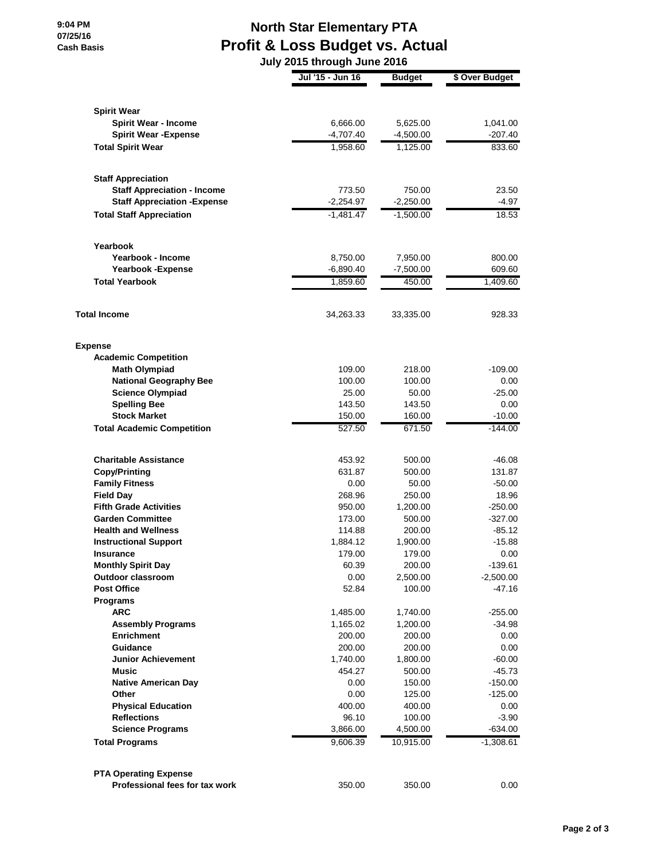**9:04 PM 07/25/16 Cash Basis**

## **North Star Elementary PTA Profit & Loss Budget vs. Actual**

 **July 2015 through June 2016**

|                                                          | Jul '15 - Jun 16 | <b>Budget</b>      | \$ Over Budget         |
|----------------------------------------------------------|------------------|--------------------|------------------------|
|                                                          |                  |                    |                        |
| <b>Spirit Wear</b>                                       |                  |                    |                        |
| <b>Spirit Wear - Income</b>                              | 6,666.00         | 5,625.00           | 1,041.00               |
| <b>Spirit Wear - Expense</b>                             | $-4,707.40$      | $-4,500.00$        | -207.40                |
| <b>Total Spirit Wear</b>                                 | 1,958.60         | 1,125.00           | 833.60                 |
| <b>Staff Appreciation</b>                                |                  |                    |                        |
| <b>Staff Appreciation - Income</b>                       | 773.50           | 750.00             | 23.50                  |
| <b>Staff Appreciation - Expense</b>                      | $-2,254.97$      | $-2,250.00$        | $-4.97$                |
| <b>Total Staff Appreciation</b>                          | $-1,481.47$      | $-1,500.00$        | 18.53                  |
| Yearbook                                                 |                  |                    |                        |
| Yearbook - Income                                        | 8,750.00         | 7,950.00           | 800.00                 |
| <b>Yearbook -Expense</b>                                 | $-6,890.40$      | $-7,500.00$        | 609.60                 |
| <b>Total Yearbook</b>                                    | 1,859.60         | 450.00             | 1,409.60               |
| <b>Total Income</b>                                      | 34,263.33        | 33,335.00          | 928.33                 |
| <b>Expense</b>                                           |                  |                    |                        |
| <b>Academic Competition</b>                              |                  |                    |                        |
| <b>Math Olympiad</b>                                     | 109.00           | 218.00             | -109.00                |
| <b>National Geography Bee</b>                            | 100.00           | 100.00             | 0.00                   |
| <b>Science Olympiad</b>                                  | 25.00            | 50.00              | $-25.00$               |
| <b>Spelling Bee</b>                                      | 143.50           | 143.50             | 0.00                   |
| <b>Stock Market</b><br><b>Total Academic Competition</b> | 150.00<br>527.50 | 160.00<br>671.50   | $-10.00$<br>$-144.00$  |
|                                                          |                  |                    |                        |
| <b>Charitable Assistance</b>                             | 453.92           | 500.00             | $-46.08$               |
| <b>Copy/Printing</b>                                     | 631.87           | 500.00             | 131.87                 |
| <b>Family Fitness</b>                                    | 0.00             | 50.00              | $-50.00$               |
| <b>Field Day</b>                                         | 268.96           | 250.00             | 18.96                  |
| <b>Fifth Grade Activities</b>                            | 950.00           | 1,200.00           | $-250.00$              |
| <b>Garden Committee</b>                                  | 173.00           | 500.00             | $-327.00$              |
| <b>Health and Wellness</b>                               | 114.88           | 200.00             | $-85.12$               |
| <b>Instructional Support</b>                             | 1,884.12         | 1,900.00           | $-15.88$               |
| <b>Insurance</b>                                         | 179.00           | 179.00             | 0.00                   |
| <b>Monthly Spirit Day</b><br><b>Outdoor classroom</b>    | 60.39<br>0.00    | 200.00<br>2,500.00 | -139.61<br>$-2,500.00$ |
| <b>Post Office</b>                                       | 52.84            | 100.00             | $-47.16$               |
| Programs                                                 |                  |                    |                        |
| ARC                                                      | 1,485.00         | 1,740.00           | -255.00                |
| <b>Assembly Programs</b>                                 | 1,165.02         | 1,200.00           | $-34.98$               |
| <b>Enrichment</b>                                        | 200.00           | 200.00             | 0.00                   |
| Guidance                                                 | 200.00           | 200.00             | 0.00                   |
| <b>Junior Achievement</b>                                | 1,740.00         | 1,800.00           | $-60.00$               |
| <b>Music</b>                                             | 454.27           | 500.00             | $-45.73$               |
| <b>Native American Day</b>                               | 0.00             | 150.00             | $-150.00$              |
| Other                                                    | 0.00             | 125.00             | $-125.00$              |
| <b>Physical Education</b>                                | 400.00           | 400.00             | 0.00                   |
| <b>Reflections</b>                                       | 96.10            | 100.00             | $-3.90$                |
| <b>Science Programs</b>                                  | 3,866.00         | 4,500.00           | $-634.00$              |
| <b>Total Programs</b>                                    | 9,606.39         | 10,915.00          | $-1,308.61$            |
| <b>PTA Operating Expense</b>                             |                  |                    |                        |
| Professional fees for tax work                           | 350.00           | 350.00             | 0.00                   |